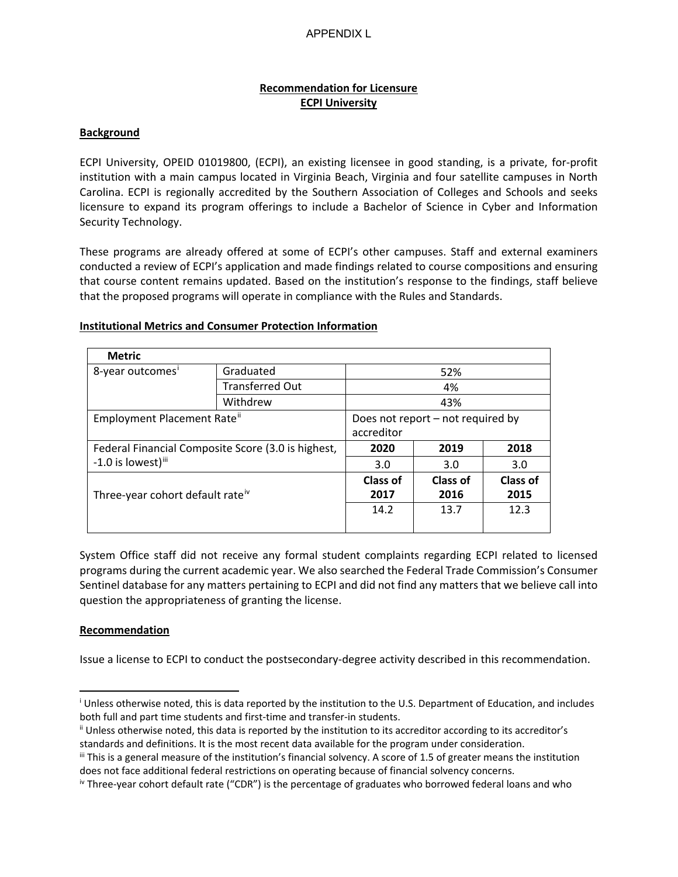# **Recommendation for Licensure ECPI University**

### **Background**

ECPI University, OPEID 01019800, (ECPI), an existing licensee in good standing, is a private, for-profit institution with a main campus located in Virginia Beach, Virginia and four satellite campuses in North Carolina. ECPI is regionally accredited by the Southern Association of Colleges and Schools and seeks licensure to expand its program offerings to include a Bachelor of Science in Cyber and Information Security Technology.

These programs are already offered at some of ECPI's other campuses. Staff and external examiners conducted a review of ECPI's application and made findings related to course compositions and ensuring that course content remains updated. Based on the institution's response to the findings, staff believe that the proposed programs will operate in compliance with the Rules and Standards.

## **Institutional Metrics and Consumer Protection Information**

| <b>Metric</b>                                                                        |                        |                                                 |                         |                         |  |
|--------------------------------------------------------------------------------------|------------------------|-------------------------------------------------|-------------------------|-------------------------|--|
| 8-year outcomes <sup>i</sup>                                                         | Graduated              | 52%                                             |                         |                         |  |
|                                                                                      | <b>Transferred Out</b> | 4%                                              |                         |                         |  |
|                                                                                      | Withdrew               | 43%                                             |                         |                         |  |
| Employment Placement Rate"                                                           |                        | Does not report - not required by<br>accreditor |                         |                         |  |
| Federal Financial Composite Score (3.0 is highest,<br>-1.0 is lowest) <sup>iii</sup> |                        | 2020                                            | 2019                    | 2018                    |  |
|                                                                                      |                        | 3.0                                             | 3.0                     | 3.0                     |  |
| Three-year cohort default rate <sup>iv</sup>                                         |                        | Class of<br>2017                                | <b>Class of</b><br>2016 | <b>Class of</b><br>2015 |  |
|                                                                                      |                        | 14.2                                            | 13.7                    | 12.3                    |  |

System Office staff did not receive any formal student complaints regarding ECPI related to licensed programs during the current academic year. We also searched the Federal Trade Commission's Consumer Sentinel database for any matters pertaining to ECPI and did not find any matters that we believe call into question the appropriateness of granting the license.

#### **Recommendation**

Issue a license to ECPI to conduct the postsecondary-degree activity described in this recommendation.

<span id="page-0-0"></span><sup>i</sup> Unless otherwise noted, this is data reported by the institution to the U.S. Department of Education, and includes both full and part time students and first-time and transfer-in students.<br>ii Unless otherwise noted, this data is reported by the institution to its accreditor according to its accreditor's

<span id="page-0-1"></span>standards and definitions. It is the most recent data available for the program under consideration.<br>iii This is a general measure of the institution's financial solvency. A score of 1.5 of greater means the institution

<span id="page-0-2"></span>does not face additional federal restrictions on operating because of financial solvency concerns.

<span id="page-0-3"></span>iv Three-year cohort default rate ("CDR") is the percentage of graduates who borrowed federal loans and who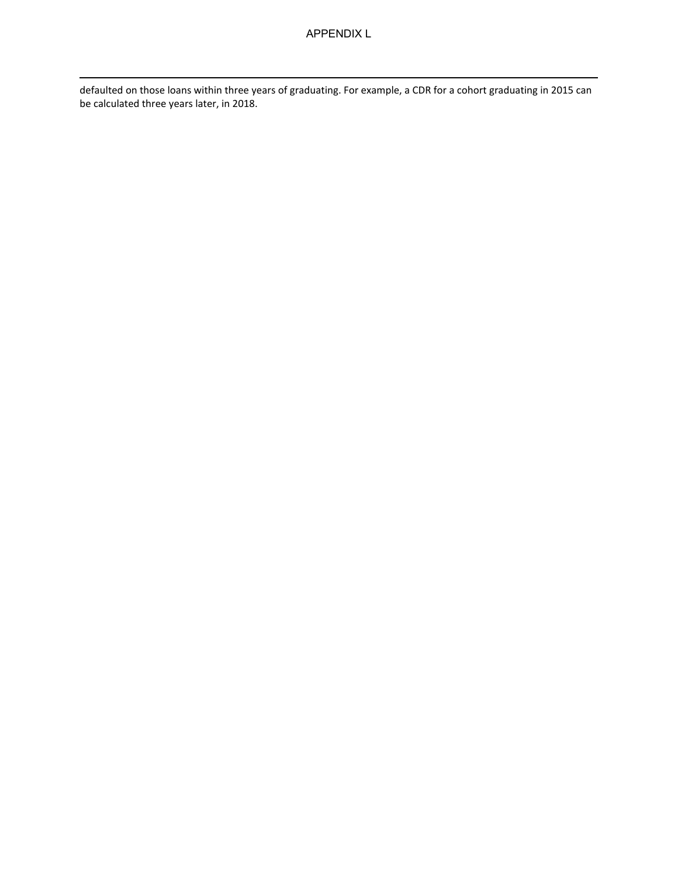defaulted on those loans within three years of graduating. For example, a CDR for a cohort graduating in 2015 can be calculated three years later, in 2018.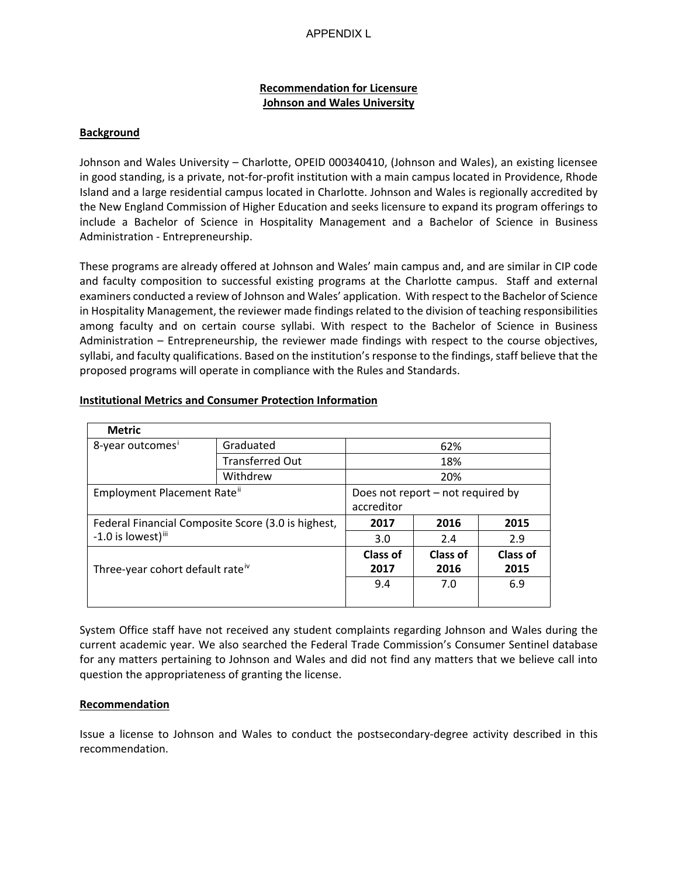# **Recommendation for Licensure Johnson and Wales University**

### **Background**

Johnson and Wales University – Charlotte, OPEID 000340410, (Johnson and Wales), an existing licensee in good standing, is a private, not-for-profit institution with a main campus located in Providence, Rhode Island and a large residential campus located in Charlotte. Johnson and Wales is regionally accredited by the New England Commission of Higher Education and seeks licensure to expand its program offerings to include a Bachelor of Science in Hospitality Management and a Bachelor of Science in Business Administration - Entrepreneurship.

These programs are already offered at Johnson and Wales' main campus and, and are similar in CIP code and faculty composition to successful existing programs at the Charlotte campus. Staff and external examiners conducted a review of Johnson and Wales' application. With respect to the Bachelor of Science in Hospitality Management, the reviewer made findings related to the division of teaching responsibilities among faculty and on certain course syllabi. With respect to the Bachelor of Science in Business Administration – Entrepreneurship, the reviewer made findings with respect to the course objectives, syllabi, and faculty qualifications. Based on the institution's response to the findings, staff believe that the proposed programs will operate in compliance with the Rules and Standards.

| <b>Metric</b>                                                                        |                        |                                                 |                  |                  |  |
|--------------------------------------------------------------------------------------|------------------------|-------------------------------------------------|------------------|------------------|--|
| 8-year outcomes <sup>1</sup>                                                         | Graduated              | 62%                                             |                  |                  |  |
|                                                                                      | <b>Transferred Out</b> | 18%                                             |                  |                  |  |
|                                                                                      | Withdrew               | 20%                                             |                  |                  |  |
| Employment Placement Rate <sup>ii</sup>                                              |                        | Does not report - not required by<br>accreditor |                  |                  |  |
| Federal Financial Composite Score (3.0 is highest,<br>-1.0 is lowest) <sup>iii</sup> |                        | 2017                                            | 2016             | 2015             |  |
|                                                                                      |                        | 3.0                                             | 2.4              | 2.9              |  |
| Three-year cohort default rate <sup>iv</sup>                                         |                        | Class of<br>2017                                | Class of<br>2016 | Class of<br>2015 |  |
|                                                                                      |                        | 9.4                                             | 7.0              | 6.9              |  |

## **Institutional Metrics and Consumer Protection Information**

System Office staff have not received any student complaints regarding Johnson and Wales during the current academic year. We also searched the Federal Trade Commission's Consumer Sentinel database for any matters pertaining to Johnson and Wales and did not find any matters that we believe call into question the appropriateness of granting the license.

#### **Recommendation**

Issue a license to Johnson and Wales to conduct the postsecondary-degree activity described in this recommendation.